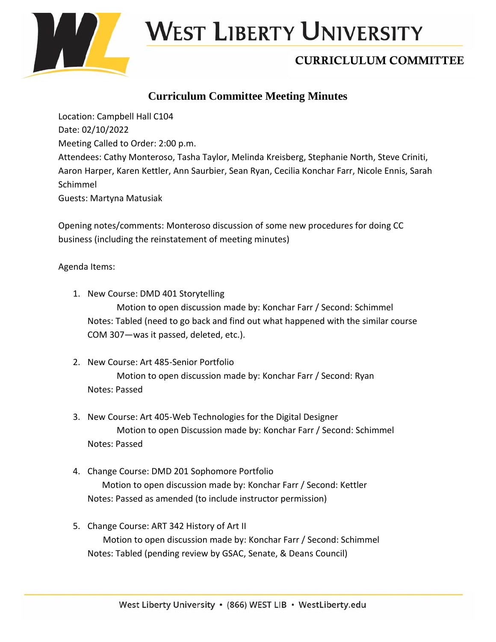

# West Liberty University

## CURRICLULUM COMMITTEE

### **Curriculum Committee Meeting Minutes**

Location: Campbell Hall C104 Date: 02/10/2022 Meeting Called to Order: 2:00 p.m. Attendees: Cathy Monteroso, Tasha Taylor, Melinda Kreisberg, Stephanie North, Steve Criniti, Aaron Harper, Karen Kettler, Ann Saurbier, Sean Ryan, Cecilia Konchar Farr, Nicole Ennis, Sarah Schimmel Guests: Martyna Matusiak

Opening notes/comments: Monteroso discussion of some new procedures for doing CC business (including the reinstatement of meeting minutes)

#### Agenda Items:

- 1. New Course: DMD 401 Storytelling Motion to open discussion made by: Konchar Farr / Second: Schimmel Notes: Tabled (need to go back and find out what happened with the similar course COM 307—was it passed, deleted, etc.).
- 2. New Course: Art 485-Senior Portfolio Motion to open discussion made by: Konchar Farr / Second: Ryan Notes: Passed
- 3. New Course: Art 405-Web Technologies for the Digital Designer Motion to open Discussion made by: Konchar Farr / Second: Schimmel Notes: Passed
- 4. Change Course: DMD 201 Sophomore Portfolio Motion to open discussion made by: Konchar Farr / Second: Kettler Notes: Passed as amended (to include instructor permission)
- 5. Change Course: ART 342 History of Art II Motion to open discussion made by: Konchar Farr / Second: Schimmel Notes: Tabled (pending review by GSAC, Senate, & Deans Council)